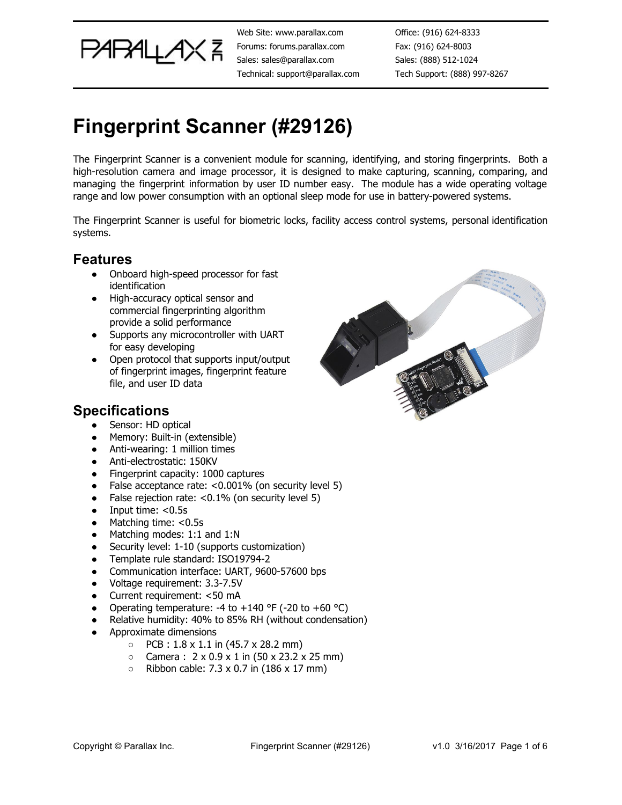

Web Site: www.parallax.com Forums: forums.parallax.com Sales: sales@parallax.com Technical: support@parallax.com

Office: (916) 624-8333 Fax: (916) 624-8003 Sales: (888) 512-1024 Tech Support: (888) 997-8267

# **Fingerprint Scanner (#29126)**

The Fingerprint Scanner is a convenient module for scanning, identifying, and storing fingerprints. Both a high-resolution camera and image processor, it is designed to make capturing, scanning, comparing, and managing the fingerprint information by user ID number easy. The module has a wide operating voltage range and low power consumption with an optional sleep mode for use in battery-powered systems.

The Fingerprint Scanner is useful for biometric locks, facility access control systems, personal identification systems.

#### **Features**

- Onboard high-speed processor for fast identification
- High-accuracy optical sensor and commercial fingerprinting algorithm provide a solid performance
- Supports any microcontroller with UART for easy developing
- Open protocol that supports input/output of fingerprint images, fingerprint feature file, and user ID data

### **Specifications**

- Sensor: HD optical
- Memory: Built-in (extensible)
- Anti-wearing: 1 million times
- Anti-electrostatic: 150KV
- Fingerprint capacity: 1000 captures
- False acceptance rate:  $< 0.001\%$  (on security level 5)
- False rejection rate: <0.1% (on security level 5)
- Input time: <0.5s
- Matching time: <0.5s
- Matching modes: 1:1 and 1:N
- Security level: 1-10 (supports customization)
- Template rule standard: ISO19794-2
- Communication interface: UART, 9600-57600 bps
- Voltage requirement: 3.3-7.5V
- Current requirement: <50 mA
- Operating temperature: -4 to  $+140$  °F (-20 to  $+60$  °C)
- Relative humidity: 40% to 85% RH (without condensation)
- Approximate dimensions
	- $\circ$  PCB : 1.8 x 1.1 in (45.7 x 28.2 mm)
	- $\circ$  Camera : 2 x 0.9 x 1 in (50 x 23.2 x 25 mm)
	- $\circ$  Ribbon cable: 7.3 x 0.7 in (186 x 17 mm)

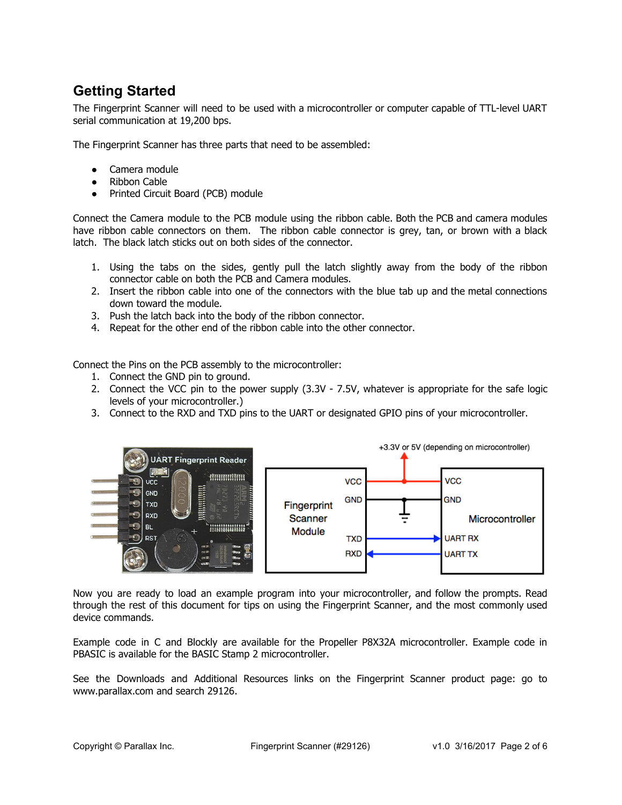### **Getting Started**

The Fingerprint Scanner will need to be used with a microcontroller or computer capable of TTL-level UART serial communication at 19,200 bps.

The Fingerprint Scanner has three parts that need to be assembled:

- Camera module
- Ribbon Cable
- Printed Circuit Board (PCB) module

Connect the Camera module to the PCB module using the ribbon cable. Both the PCB and camera modules have ribbon cable connectors on them. The ribbon cable connector is grey, tan, or brown with a black latch. The black latch sticks out on both sides of the connector.

- 1. Using the tabs on the sides, gently pull the latch slightly away from the body of the ribbon connector cable on both the PCB and Camera modules.
- 2. Insert the ribbon cable into one of the connectors with the blue tab up and the metal connections down toward the module.
- 3. Push the latch back into the body of the ribbon connector.
- 4. Repeat for the other end of the ribbon cable into the other connector.

Connect the Pins on the PCB assembly to the microcontroller:

- 1. Connect the GND pin to ground.
- 2. Connect the VCC pin to the power supply (3.3V 7.5V, whatever is appropriate for the safe logic levels of your microcontroller.)
- 3. Connect to the RXD and TXD pins to the UART or designated GPIO pins of your microcontroller.



Now you are ready to load an example program into your microcontroller, and follow the prompts. Read through the rest of this document for tips on using the Fingerprint Scanner, and the most commonly used device commands.

Example code in C and Blockly are available for the Propeller P8X32A microcontroller. Example code in PBASIC is available for the BASIC Stamp 2 microcontroller.

See the Downloads and Additional Resources links on the Fingerprint Scanner product page: go to www.parallax.com and search 29126.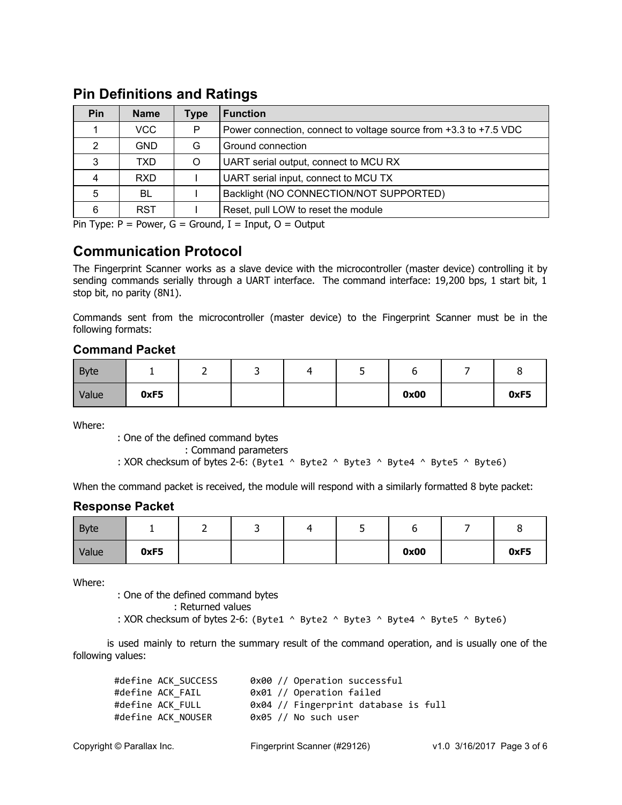| <b>Pin</b> | <b>Name</b> | Type | <b>Function</b>                                                   |
|------------|-------------|------|-------------------------------------------------------------------|
|            | VCC         | P    | Power connection, connect to voltage source from +3.3 to +7.5 VDC |
| 2          | <b>GND</b>  | G    | Ground connection                                                 |
| 3          | TXD         | O    | UART serial output, connect to MCU RX                             |
| 4          | <b>RXD</b>  |      | UART serial input, connect to MCU TX                              |
| 5          | BL          |      | Backlight (NO CONNECTION/NOT SUPPORTED)                           |
|            | <b>RST</b>  |      | Reset, pull LOW to reset the module                               |

#### **Pin Definitions and Ratings**

Pin Type:  $P = Power$ ,  $G = Ground$ ,  $I = Input$ ,  $O = Output$ 

#### **Communication Protocol**

The Fingerprint Scanner works as a slave device with the microcontroller (master device) controlling it by sending commands serially through a UART interface. The command interface: 19,200 bps, 1 start bit, 1 stop bit, no parity (8N1).

Commands sent from the microcontroller (master device) to the Fingerprint Scanner must be in the following formats:

#### **Command Packet**

| <b>Byte</b> |      |  |  |      |      |
|-------------|------|--|--|------|------|
| Value       | 0xF5 |  |  | 0x00 | 0xF5 |

Where:

: One of the defined command bytes

: Command parameters

: XOR checksum of bytes 2-6: (Byte1 ^ Byte2 ^ Byte3 ^ Byte4 ^ Byte5 ^ Byte6)

When the command packet is received, the module will respond with a similarly formatted 8 byte packet:

#### **Response Packet**

| Byte  |      |  |  |      |      |  |
|-------|------|--|--|------|------|--|
| Value | 0xF5 |  |  | 0x00 | 0xF5 |  |

Where:

: One of the defined command bytes

Values : Returned values

: XOR checksum of bytes 2-6: (Byte1 ^ Byte2 ^ Byte3 ^ Byte4 ^ Byte5 ^ Byte6)

is used mainly to return the summary result of the command operation, and is usually one of the following values:

| #define ACK SUCCESS | 0x00 // Operation successful         |
|---------------------|--------------------------------------|
| #define ACK FAIL    | 0x01 // Operation failed             |
| #define ACK FULL    | 0x04 // Fingerprint database is full |
| #define ACK NOUSER  | $0x05$ // No such user               |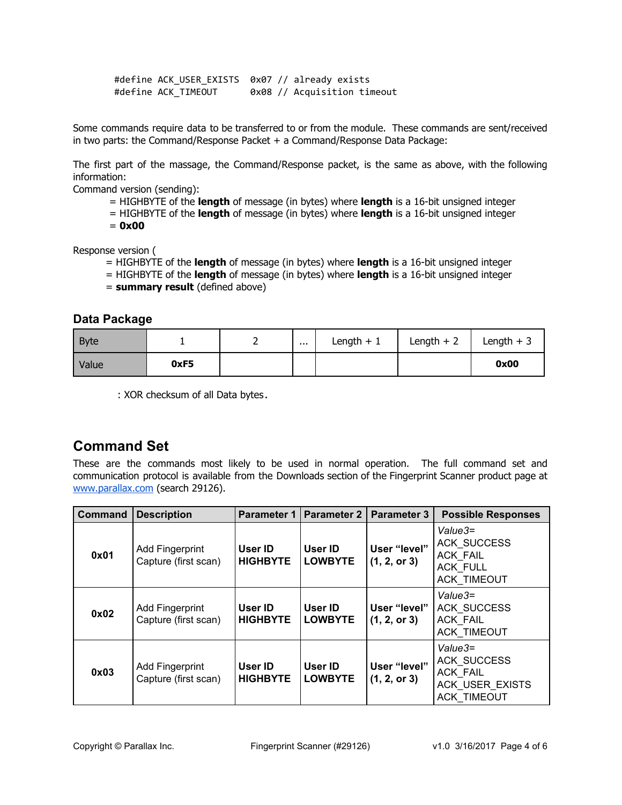#define ACK\_USER\_EXISTS 0x07 // already exists #define ACK\_TIMEOUT 0x08 // Acquisition timeout

Some commands require data to be transferred to or from the module. These commands are sent/received in two parts: the Command/Response Packet + a Command/Response Data Package:

The first part of the massage, the Command/Response packet, is the same as above, with the following information:

Command version (sending):

- $=$  HIGHBYTE of the **length** of message (in bytes) where **length** is a 16-bit unsigned integer
- = HIGHBYTE of the **length** of message (in bytes) where **length** is a 16-bit unsigned integer<br>=  $0 \times 00$
- $= 0x00$

Response version (

- = HIGHBYTE of the **length** of message (in bytes) where **length** is a 16-bit unsigned integer
- = HIGHBYTE of the **length** of message (in bytes) where **length** is a 16-bit unsigned integer
- = **summary result** (defined above)

#### **Data Package**

| Byte  |      | . | Length $+$ | Length +<br>$\overline{\phantom{0}}$ | Length $+$ |
|-------|------|---|------------|--------------------------------------|------------|
| Value | 0xF5 |   |            |                                      | 0x00       |

: XOR checksum of all Data bytes.

### **Command Set**

These are the commands most likely to be used in normal operation. The full command set and communication protocol is available from the Downloads section of the Fingerprint Scanner product page at [www.parallax.com](http://www.parallax.com/) (search 29126).

| <b>Command</b> | <b>Description</b>                             | <b>Parameter 1</b>         | <b>Parameter 2</b>        | <b>Parameter 3</b>           | <b>Possible Responses</b>                                                                          |
|----------------|------------------------------------------------|----------------------------|---------------------------|------------------------------|----------------------------------------------------------------------------------------------------|
| 0x01           | <b>Add Fingerprint</b><br>Capture (first scan) | User ID<br><b>HIGHBYTE</b> | User ID<br><b>LOWBYTE</b> | User "level"<br>(1, 2, or 3) | Value3=<br><b>ACK SUCCESS</b><br><b>ACK FAIL</b><br><b>ACK FULL</b><br><b>ACK TIMEOUT</b>          |
| 0x02           | <b>Add Fingerprint</b><br>Capture (first scan) | User ID<br><b>HIGHBYTE</b> | User ID<br><b>LOWBYTE</b> | User "level"<br>(1, 2, or 3) | $Value3=$<br><b>ACK SUCCESS</b><br><b>ACK FAIL</b><br><b>ACK TIMEOUT</b>                           |
| 0x03           | <b>Add Fingerprint</b><br>Capture (first scan) | User ID<br><b>HIGHBYTE</b> | User ID<br><b>LOWBYTE</b> | User "level"<br>(1, 2, or 3) | $Value3=$<br><b>ACK SUCCESS</b><br><b>ACK FAIL</b><br><b>ACK USER EXISTS</b><br><b>ACK TIMEOUT</b> |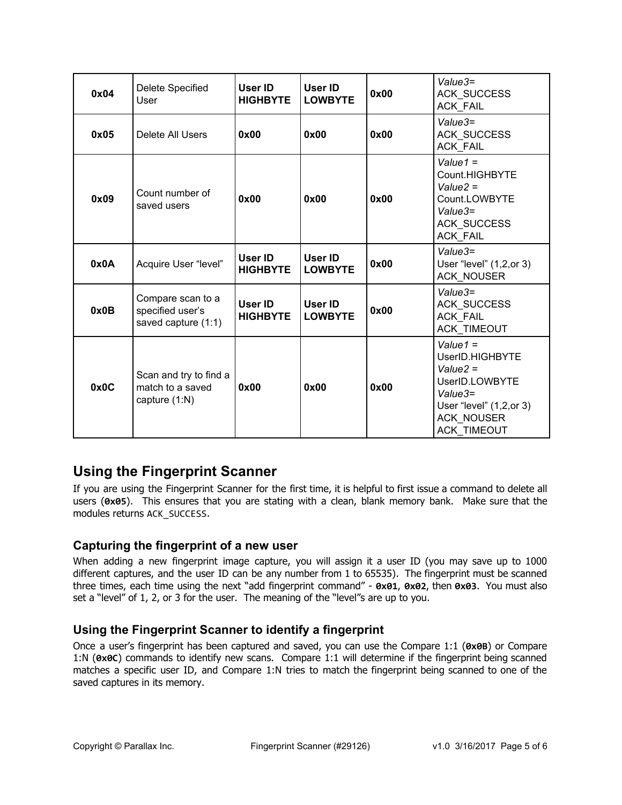| 0x04 | Delete Specified<br>User                                     | User ID<br><b>HIGHBYTE</b> | User ID<br><b>LOWBYTE</b> | 0x00 | Value3=<br><b>ACK SUCCESS</b><br>ACK_FAIL                                                                                                 |
|------|--------------------------------------------------------------|----------------------------|---------------------------|------|-------------------------------------------------------------------------------------------------------------------------------------------|
| 0x05 | Delete All Users                                             | 0x00                       | 0x00                      | 0x00 | $Value3=$<br><b>ACK SUCCESS</b><br><b>ACK_FAIL</b>                                                                                        |
| 0x09 | Count number of<br>saved users                               | 0x00                       | 0x00                      | 0x00 | Value1 $=$<br>Count.HIGHBYTE<br>$Value2 =$<br>Count.LOWBYTE<br>$Value3=$<br><b>ACK SUCCESS</b><br><b>ACK FAIL</b>                         |
| 0x0A | Acquire User "level"                                         | User ID<br><b>HIGHBYTE</b> | User ID<br><b>LOWBYTE</b> | 0x00 | $Value3=$<br>User "level" (1,2, or 3)<br><b>ACK_NOUSER</b>                                                                                |
| 0x0B | Compare scan to a<br>specified user's<br>saved capture (1:1) | User ID<br><b>HIGHBYTE</b> | User ID<br><b>LOWBYTE</b> | 0x00 | Value3=<br><b>ACK SUCCESS</b><br><b>ACK FAIL</b><br><b>ACK TIMEOUT</b>                                                                    |
| 0x0C | Scan and try to find a<br>match to a saved<br>capture (1:N)  | 0x00                       | 0x00                      | 0x00 | Value $1 =$<br>UserID.HIGHBYTE<br>$Value2 =$<br>UserID.LOWBYTE<br>Value3=<br>User "level" (1,2, or 3)<br><b>ACK_NOUSER</b><br>ACK_TIMEOUT |

### **Using the Fingerprint Scanner**

If you are using the Fingerprint Scanner for the first time, it is helpful to first issue a command to delete all users (**0x05**). This ensures that you are stating with a clean, blank memory bank. Make sure that the modules returns ACK\_SUCCESS.

#### **Capturing the fingerprint of a new user**

When adding a new fingerprint image capture, you will assign it a user ID (you may save up to 1000 different captures, and the user ID can be any number from 1 to 65535). The fingerprint must be scanned three times, each time using the next "add fingerprint command" - **0x01**, **0x02**, then **0x03**. You must also set a "level" of 1, 2, or 3 for the user. The meaning of the "level"s are up to you.

#### **Using the Fingerprint Scanner to identify a fingerprint**

Once a user's fingerprint has been captured and saved, you can use the Compare 1:1 (**0x0B**) or Compare 1:N (**0x0C**) commands to identify new scans. Compare 1:1 will determine if the fingerprint being scanned matches a specific user ID, and Compare 1:N tries to match the fingerprint being scanned to one of the saved captures in its memory.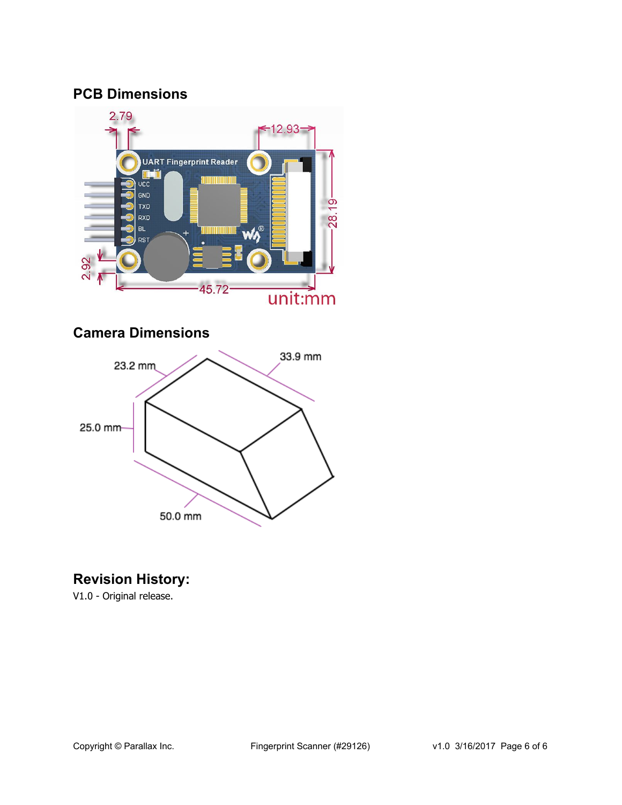### **PCB Dimensions**



### **Camera Dimensions**



### **Revision History:**

V1.0 - Original release.